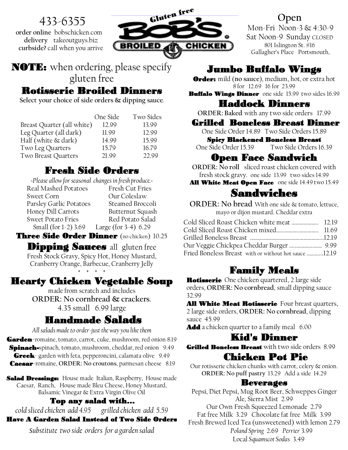# 433-6355

**order online** bobschicken.com **delivery** takeoutguys.biz **curbside?** call when you arrive



NOTE: when ordering, please specify gluten free

## Rotisserie Broiled Dinners

**Select your choice of side orders & dipping sauce**.

|                            | One Side | Two Sides |
|----------------------------|----------|-----------|
| Breast Quarter (all white) | 12.99    | 13.99     |
| Leg Quarter (all dark)     | 11.99    | 12.99     |
| Half (white $\&$ dark)     | 14.99    | 15.99     |
| Two Leg Quarters           | 15.79    | 16.79     |
| Two Breast Quarters        | 21.99    | 22.99     |

# Fresh Side Orders

| -Please allow for seasonal changes in fresh produce. |                         |  |
|------------------------------------------------------|-------------------------|--|
| Real Mashed Potatoes                                 | Fresh Cut Fries         |  |
| <b>Sweet Corn</b>                                    | Our Coleslaw            |  |
| Parsley Garlic Potatoes                              | Steamed Broccoli        |  |
| Honey Dill Carrots                                   | Butternut Squash        |  |
| <b>Sweet Potato Fries</b>                            | Red Potato Salad        |  |
| Small (for 1-2) 3.69                                 | Large (for $3-4$ ) 6.29 |  |
|                                                      |                         |  |

Three Side Order Dinner (no chicken) 10.25

**Dipping Sauces** all gluten free Fresh Stock Gravy, Spicy Hot, Honey Mustard, Cranberry Orange, Barbecue, Cranberry Jelly + + + +

# Hearty Chicken Vegetable Soup

made from scratch and includes **ORDER: No cornbread & crackers.** 4.35 small 6.99 large

# Handmade Salads

*All salads made to order-just the way you like them* Garden-romaine, tomato, carrot, cuke, mushroom, red onion 8.19 Spinach-spinach, tomato, mushroom, cheddar, red onion 9.49 Greek- garden with feta, pepperoncini, calamata olive 9.49 Caesar-romaine, **ORDER: No croutons**, parmesan cheese 8.19

Salad Dressings: House made Italian, Raspberry, House made Caesar, Ranch, House made Bleu Cheese, Honey Mustard, Balsamic Vinegar & Extra Virgin Olive Oil

### Top any salad with…

*cold sliced chicken add 4.95 grilled chicken add 5.59*  Have A Garden Salad Instead of Two Side Orders

*substitute two side orders for a garden salad*

## **Open**

Mon-Fri Noon-3 & 4:30-9 Sat Noon-9 Sunday CLOSED 801 Islington St. #16 Gallagher's Place Portsmouth,

# Jumbo Buffalo Wings

Order: mild (**no sauce**), medium, hot, or extra hot 8 for 12.69 16 for 23.99

Buffalo Wings Dinner one side 15.99 two sides 16.99

Haddock Dinners

**ORDER: Baked** with any two side orders 17.99

### Grilled Boneless Breast Dinner

One Side Order 14.89 Two Side Orders 15.89 Spicy Blackened Boneless Breast

One Side Order 15.39 Two Side Orders 16.39

## Open Face Sandwich

**ORDER: No roll** sliced roast chicken covered with fresh stock gravy. one side 13.99 two sides 14.99

### All White Meat Open Face one side 14.49 two 15.49

# Sandwiches

**ORDER: No bread** With one side & tomato, lettuce, mayo or dijon mustard. Cheddar extra

| Cold Sliced Roast Chicken white meat  12.19           |  |
|-------------------------------------------------------|--|
|                                                       |  |
|                                                       |  |
|                                                       |  |
| Fried Boneless Breast with or without hot sauce 12.19 |  |

## Family Meals

**Rotisserie** One chicken quartered, 2 large side orders, **ORDER: No cornbread**, small dipping sauce 32.99

**All White Meat Rotisserie** Four breast quarters, 2 large side orders, **ORDER: No cornbread**, dipping sauce 45.99

**Add** a chicken quarter to a family meal 6.00

### Kid's Dinner

Grilled Boneless Breast with two side orders 8.99

## Chicken Pot Pie

Our rotisserie chicken chunks with carrot, celery & onion. **ORDER: No puff pastry** 13.29 Add a side 14.29

### Beverages

Pepsi, Diet Pepsi, Mug Root Beer, Schweppes Ginger Ale, Sierra Mist 2.99 Our Own Fresh Squeezed Lemonade 2.79 Fat free Milk 3.29 Chocolate fat free Milk 3.99 Fresh Brewed Iced Tea (unsweetened) with lemon 2.79  *Poland Spring* 2.69 *Perrier* 3.99 Local *Squamscot Sodas* 3.49